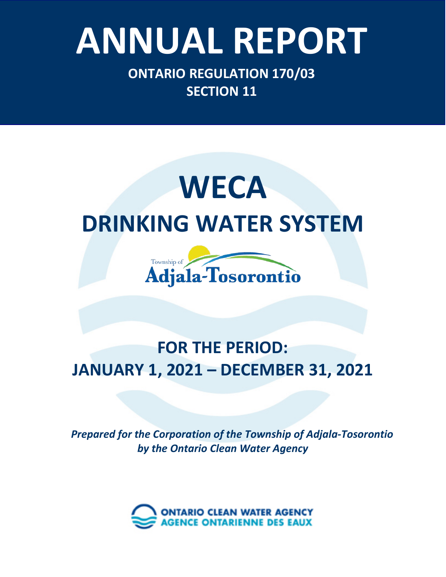# Ontario Clean Water Agency – *Minesing Well Supply System* **ANNUAL REPORT**

**ONTARIO REGULATION 170/03 SECTION 11**

## **WECA DRINKING WATER SYSTEM**



### **FOR THE PERIOD: JANUARY 1, 2021 – DECEMBER 31, 2021**

*Prepared for the Corporation of the Township of Adjala-Tosorontio by the Ontario Clean Water Agency*

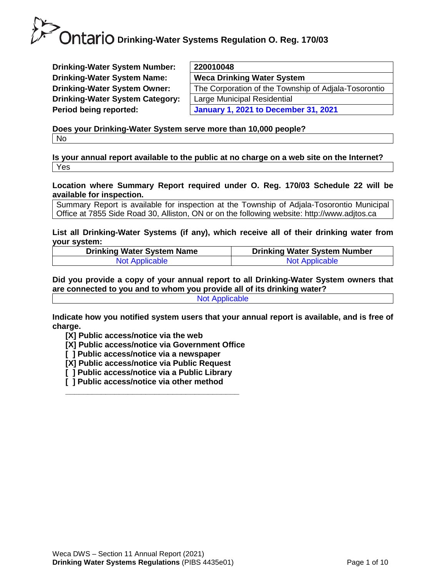**Drinking-Water System Number: Drinking-Water System Name: Drinking-Water System Owner: Drinking-Water System Category: Period being reported:** 

| 220010048                                            |
|------------------------------------------------------|
| <b>Weca Drinking Water System</b>                    |
| The Corporation of the Township of Adjala-Tosorontio |
| Large Municipal Residential                          |
| <b>January 1, 2021 to December 31, 2021</b>          |
|                                                      |

**Does your Drinking-Water System serve more than 10,000 people?**  No

**Is your annual report available to the public at no charge on a web site on the Internet?**  Yes

**Location where Summary Report required under O. Reg. 170/03 Schedule 22 will be available for inspection.** 

Summary Report is available for inspection at the Township of Adjala-Tosorontio Municipal Office at 7855 Side Road 30, Alliston, ON or on the following website: http://www.adjtos.ca

**List all Drinking-Water Systems (if any), which receive all of their drinking water from your system:**

| <b>Drinking Water System Name</b> | <b>Drinking Water System Number</b> |
|-----------------------------------|-------------------------------------|
| <b>Not Applicable</b>             | <b>Not Applicable</b>               |

**Did you provide a copy of your annual report to all Drinking-Water System owners that are connected to you and to whom you provide all of its drinking water?**  Not Applicable

**Indicate how you notified system users that your annual report is available, and is free of charge.** 

**[X] Public access/notice via the web** 

**[X] Public access/notice via Government Office**

- **[ ] Public access/notice via a newspaper**
- **[X] Public access/notice via Public Request**
- **[ ] Public access/notice via a Public Library**

**\_\_\_\_\_\_\_\_\_\_\_\_\_\_\_\_\_\_\_\_\_\_\_\_\_\_\_\_\_\_\_\_\_\_\_\_\_\_\_**

**[ ] Public access/notice via other method**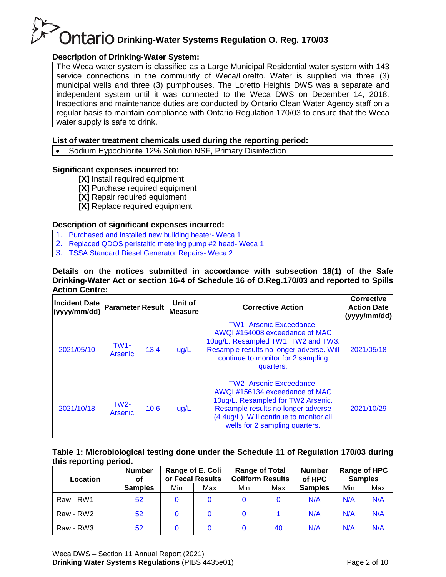#### **Description of Drinking-Water System:**

The Weca water system is classified as a Large Municipal Residential water system with 143 service connections in the community of Weca/Loretto. Water is supplied via three (3) municipal wells and three (3) pumphouses. The Loretto Heights DWS was a separate and independent system until it was connected to the Weca DWS on December 14, 2018. Inspections and maintenance duties are conducted by Ontario Clean Water Agency staff on a regular basis to maintain compliance with Ontario Regulation 170/03 to ensure that the Weca water supply is safe to drink.

#### **List of water treatment chemicals used during the reporting period:**

• Sodium Hypochlorite 12% Solution NSF, Primary Disinfection

#### **Significant expenses incurred to:**

- **[X]** Install required equipment
- **[X]** Purchase required equipment
- **[X]** Repair required equipment
- **[X]** Replace required equipment

#### **Description of significant expenses incurred:**

- 1. Purchased and installed new building heater- Weca 1
- 2. Replaced QDOS peristaltic metering pump #2 head- Weca 1
- 3. TSSA Standard Diesel Generator Repairs- Weca 2

#### **Details on the notices submitted in accordance with subsection 18(1) of the Safe Drinking-Water Act or section 16-4 of Schedule 16 of O.Reg.170/03 and reported to Spills Action Centre:**

| Incident Date<br>(yyyy/mm/dd) | <b>Parameter Result</b> |      | Unit of<br><b>Measure</b> | <b>Corrective Action</b>                                                                                                                                                                                                  | <b>Corrective</b><br><b>Action Date</b><br>(yyyy/mm/dd) |
|-------------------------------|-------------------------|------|---------------------------|---------------------------------------------------------------------------------------------------------------------------------------------------------------------------------------------------------------------------|---------------------------------------------------------|
| 2021/05/10                    | <b>TW1-</b><br>Arsenic  | 13.4 | ug/L                      | <b>TW1- Arsenic Exceedance.</b><br>AWQI#154008 exceedance of MAC<br>10ug/L. Resampled TW1, TW2 and TW3.<br>Resample results no longer adverse. Will<br>continue to monitor for 2 sampling<br>quarters.                    | 2021/05/18                                              |
| 2021/10/18                    | $TW2-$<br>Arsenic       | 10.6 | ug/L                      | <b>TW2- Arsenic Exceedance.</b><br>AWQI#156134 exceedance of MAC<br>10ug/L. Resampled for TW2 Arsenic.<br>Resample results no longer adverse<br>(4.4ug/L). Will continue to monitor all<br>wells for 2 sampling quarters. | 2021/10/29                                              |

#### **Table 1: Microbiological testing done under the Schedule 11 of Regulation 170/03 during this reporting period.**

| <b>Number</b><br>Location<br>οf |                | Range of E. Coli<br>or Fecal Results |     | <b>Range of Total</b><br><b>Coliform Results</b> |     | <b>Number</b><br>of HPC |     | Range of HPC<br><b>Samples</b> |  |
|---------------------------------|----------------|--------------------------------------|-----|--------------------------------------------------|-----|-------------------------|-----|--------------------------------|--|
|                                 | <b>Samples</b> | Min                                  | Max | Min                                              | Max | <b>Samples</b>          | Min | Max                            |  |
| Raw - RW1                       | 52             |                                      |     |                                                  |     | N/A                     | N/A | N/A                            |  |
| Raw - RW2                       | 52             | 0                                    | 0   |                                                  |     | N/A                     | N/A | N/A                            |  |
| Raw - RW3                       | 52             |                                      | 0   |                                                  | 40  | N/A                     | N/A | N/A                            |  |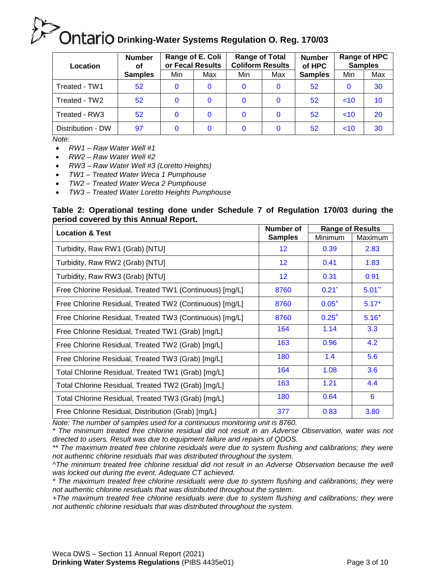| Location          | <b>Number</b><br>οf | Range of E. Coli<br>or Fecal Results |          | <b>Range of Total</b><br><b>Coliform Results</b> |          | <b>Number</b><br>of HPC | <b>Samples</b> | Range of HPC |
|-------------------|---------------------|--------------------------------------|----------|--------------------------------------------------|----------|-------------------------|----------------|--------------|
|                   | <b>Samples</b>      | Min                                  | Max      | Min                                              | Max      | <b>Samples</b>          | Min            | Max          |
| Treated - TW1     | 52                  |                                      | $\Omega$ | $\Omega$                                         | $\Omega$ | 52 <sub>2</sub>         |                | 30           |
| Treated - TW2     | 52                  |                                      | 0        | $\Omega$                                         | $\Omega$ | 52                      | ~10            | 10           |
| Treated - RW3     | 52                  |                                      | 0        | 0                                                | 0        | 52 <sub>2</sub>         | ~10            | 20           |
| Distribution - DW | 97                  |                                      | 0        |                                                  |          | 52                      | ~10            | 30           |

*Note:*

- *RW1 – Raw Water Well #1*
- *RW2 – Raw Water Well #2*
- *RW3 – Raw Water Well #3 (Loretto Heights)*
- *TW1 – Treated Water Weca 1 Pumphouse*
- *TW2 – Treated Water Weca 2 Pumphouse*
- *TW3 – Treated Water Loretto Heights Pumphouse*

#### **Table 2: Operational testing done under Schedule 7 of Regulation 170/03 during the period covered by this Annual Report.**

| <b>Location &amp; Test</b>                              | <b>Number of</b> | <b>Range of Results</b> |           |
|---------------------------------------------------------|------------------|-------------------------|-----------|
|                                                         | <b>Samples</b>   | Minimum                 | Maximum   |
| Turbidity, Raw RW1 (Grab) [NTU]                         | 12               | 0.39                    | 2.83      |
| Turbidity, Raw RW2 (Grab) [NTU]                         | 12               | 0.41                    | 1.83      |
| Turbidity, Raw RW3 (Grab) [NTU]                         | 12               | 0.31                    | 0.91      |
| Free Chlorine Residual, Treated TW1 (Continuous) [mg/L] | 8760             | $0.21$ <sup>*</sup>     | $5.01$ ** |
| Free Chlorine Residual, Treated TW2 (Continuous) [mg/L] | 8760             | $0.05^{\circ}$          | $5.17+$   |
| Free Chlorine Residual, Treated TW3 (Continuous) [mg/L] | 8760             | $0.25^{\prime}$         | $5.16+$   |
| Free Chlorine Residual, Treated TW1 (Grab) [mg/L]       | 164              | 1.14                    | 3.3       |
| Free Chlorine Residual, Treated TW2 (Grab) [mg/L]       | 163              | 0.96                    | 4.2       |
| Free Chlorine Residual, Treated TW3 (Grab) [mg/L]       | 180              | 1.4                     | 5.6       |
| Total Chlorine Residual, Treated TW1 (Grab) [mg/L]      | 164              | 1.08                    | 3.6       |
| Total Chlorine Residual, Treated TW2 (Grab) [mg/L]      | 163              | 1.21                    | 4.4       |
| Total Chlorine Residual, Treated TW3 (Grab) [mg/L]      | 180              | 0.64                    | 6         |
| Free Chlorine Residual, Distribution (Grab) [mg/L]      | 377              | 0.83                    | 3.80      |

*Note: The number of samples used for a continuous monitoring unit is 8760.*

*\* The minimum treated free chlorine residual did not result in an Adverse Observation, water was not directed to users. Result was due to equipment failure and repairs of QDOS.*

*\*\* The maximum treated free chlorine residuals were due to system flushing and calibrations; they were not authentic chlorine residuals that was distributed throughout the system.*

*^The minimum treated free chlorine residual did not result in an Adverse Observation because the well was locked out during the event. Adequate CT achieved.*

*\* The maximum treated free chlorine residuals were due to system flushing and calibrations; they were not authentic chlorine residuals that was distributed throughout the system.*

*+The maximum treated free chlorine residuals were due to system flushing and calibrations; they were not authentic chlorine residuals that was distributed throughout the system.*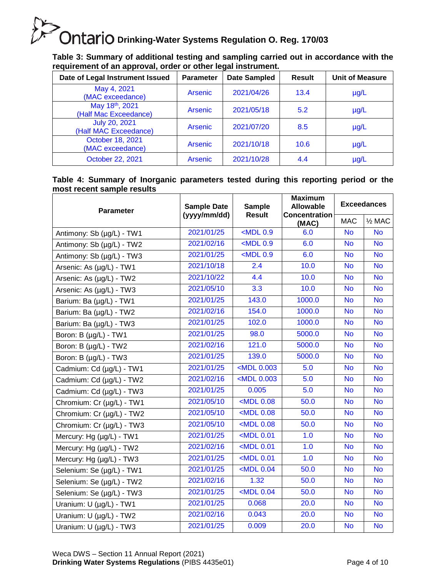**Table 3: Summary of additional testing and sampling carried out in accordance with the requirement of an approval, order or other legal instrument.**

| Date of Legal Instrument Issued               | <b>Parameter</b> | <b>Date Sampled</b> | Result | <b>Unit of Measure</b> |
|-----------------------------------------------|------------------|---------------------|--------|------------------------|
| May 4, 2021<br>(MAC exceedance)               | <b>Arsenic</b>   | 2021/04/26          | 13.4   | $\mu$ g/L              |
| May 18th, 2021<br>(Half Mac Exceedance)       | <b>Arsenic</b>   | 2021/05/18          | 5.2    | $\mu$ g/L              |
| <b>July 20, 2021</b><br>(Half MAC Exceedance) | <b>Arsenic</b>   | 2021/07/20          | 8.5    | $\mu$ g/L              |
| October 18, 2021<br>(MAC exceedance)          | <b>Arsenic</b>   | 2021/10/18          | 10.6   | $\mu$ g/L              |
| October 22, 2021                              | <b>Arsenic</b>   | 2021/10/28          | 4.4    | $\mu$ g/L              |

#### **Table 4: Summary of Inorganic parameters tested during this reporting period or the most recent sample results**

| <b>Parameter</b>          | <b>Sample Date</b> | <b>Sample</b>                                                               | <b>Maximum</b><br><b>Allowable</b> | <b>Exceedances</b> |                   |  |
|---------------------------|--------------------|-----------------------------------------------------------------------------|------------------------------------|--------------------|-------------------|--|
|                           | (yyyy/mm/dd)       | <b>Result</b>                                                               | <b>Concentration</b><br>(MAC)      | <b>MAC</b>         | $\frac{1}{2}$ MAC |  |
| Antimony: Sb (µg/L) - TW1 | 2021/01/25         | $<$ MDL $0.9$                                                               | 6.0                                | <b>No</b>          | <b>No</b>         |  |
| Antimony: Sb (µg/L) - TW2 | 2021/02/16         | $MDL$ 0.9                                                                   | 6.0                                | <b>No</b>          | <b>No</b>         |  |
| Antimony: Sb (µg/L) - TW3 | 2021/01/25         | $<$ MDL $0.9$                                                               | 6.0                                | <b>No</b>          | <b>No</b>         |  |
| Arsenic: As (µg/L) - TW1  | 2021/10/18         | 2.4                                                                         | 10.0                               | <b>No</b>          | <b>No</b>         |  |
| Arsenic: As (µg/L) - TW2  | 2021/10/22         | 4.4                                                                         | 10.0                               | <b>No</b>          | <b>No</b>         |  |
| Arsenic: As (µg/L) - TW3  | 2021/05/10         | 3.3                                                                         | 10.0                               | <b>No</b>          | <b>No</b>         |  |
| Barium: Ba (µg/L) - TW1   | 2021/01/25         | 143.0                                                                       | 1000.0                             | <b>No</b>          | <b>No</b>         |  |
| Barium: Ba (µg/L) - TW2   | 2021/02/16         | 154.0                                                                       | 1000.0                             | <b>No</b>          | <b>No</b>         |  |
| Barium: Ba (µg/L) - TW3   | 2021/01/25         | 102.0                                                                       | 1000.0                             | <b>No</b>          | <b>No</b>         |  |
| Boron: B (µg/L) - TW1     | 2021/01/25         | 98.0                                                                        | 5000.0                             | <b>No</b>          | <b>No</b>         |  |
| Boron: B (µg/L) - TW2     | 2021/02/16         | 121.0                                                                       | 5000.0                             | <b>No</b>          | <b>No</b>         |  |
| Boron: B (µg/L) - TW3     | 2021/01/25         | 139.0                                                                       | 5000.0                             | <b>No</b>          | <b>No</b>         |  |
| Cadmium: Cd (µg/L) - TW1  | 2021/01/25         | <mdl 0.003<="" td=""><td>5.0</td><td><b>No</b></td><td><b>No</b></td></mdl> | 5.0                                | <b>No</b>          | <b>No</b>         |  |
| Cadmium: Cd (µg/L) - TW2  | 2021/02/16         | <mdl 0.003<="" td=""><td>5.0</td><td><b>No</b></td><td><b>No</b></td></mdl> | 5.0                                | <b>No</b>          | <b>No</b>         |  |
| Cadmium: Cd (µg/L) - TW3  | 2021/01/25         | 0.005                                                                       | 5.0                                | <b>No</b>          | <b>No</b>         |  |
| Chromium: Cr (µg/L) - TW1 | 2021/05/10         | $MDL$ 0.08                                                                  | 50.0                               | <b>No</b>          | <b>No</b>         |  |
| Chromium: Cr (µg/L) - TW2 | 2021/05/10         | $MDL$ 0.08                                                                  | 50.0                               | <b>No</b>          | <b>No</b>         |  |
| Chromium: Cr (µg/L) - TW3 | 2021/05/10         | <mdl 0.08<="" td=""><td>50.0</td><td><b>No</b></td><td><b>No</b></td></mdl> | 50.0                               | <b>No</b>          | <b>No</b>         |  |
| Mercury: Hg (µg/L) - TW1  | 2021/01/25         | $MDL$ 0.01                                                                  | 1.0                                | <b>No</b>          | <b>No</b>         |  |
| Mercury: Hg (µg/L) - TW2  | 2021/02/16         | <mdl 0.01<="" td=""><td>1.0</td><td><b>No</b></td><td><b>No</b></td></mdl>  | 1.0                                | <b>No</b>          | <b>No</b>         |  |
| Mercury: Hg (µg/L) - TW3  | 2021/01/25         | <mdl 0.01<="" td=""><td>1.0</td><td><b>No</b></td><td><b>No</b></td></mdl>  | 1.0                                | <b>No</b>          | <b>No</b>         |  |
| Selenium: Se (µg/L) - TW1 | 2021/01/25         | $MDL$ 0.04                                                                  | 50.0                               | <b>No</b>          | <b>No</b>         |  |
| Selenium: Se (µg/L) - TW2 | 2021/02/16         | 1.32                                                                        | 50.0                               | <b>No</b>          | <b>No</b>         |  |
| Selenium: Se (µg/L) - TW3 | 2021/01/25         | $MDL$ 0.04                                                                  | 50.0                               | <b>No</b>          | <b>No</b>         |  |
| Uranium: U (µg/L) - TW1   | 2021/01/25         | 0.068                                                                       | 20.0                               | <b>No</b>          | <b>No</b>         |  |
| Uranium: U (µg/L) - TW2   | 2021/02/16         | 0.043                                                                       | 20.0                               | <b>No</b>          | <b>No</b>         |  |
| Uranium: U (µg/L) - TW3   | 2021/01/25         | 0.009                                                                       | 20.0                               | <b>No</b>          | <b>No</b>         |  |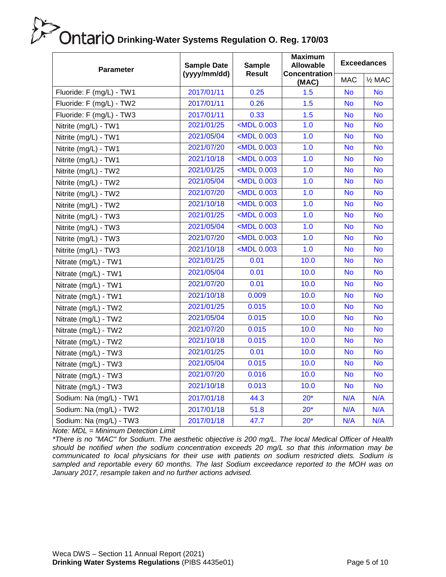| <b>Parameter</b>                                                                                                                                                                                                                                                                                                                                              | <b>Sample Date</b><br>(yyyy/mm/dd) | <b>Sample</b><br><b>Result</b>                                              | <b>Maximum</b><br><b>Allowable</b><br>Concentration | <b>Exceedances</b> |                   |  |
|---------------------------------------------------------------------------------------------------------------------------------------------------------------------------------------------------------------------------------------------------------------------------------------------------------------------------------------------------------------|------------------------------------|-----------------------------------------------------------------------------|-----------------------------------------------------|--------------------|-------------------|--|
|                                                                                                                                                                                                                                                                                                                                                               |                                    |                                                                             | (MAC)                                               | <b>MAC</b>         | $\frac{1}{2}$ MAC |  |
| Fluoride: F (mg/L) - TW1                                                                                                                                                                                                                                                                                                                                      | 2017/01/11                         | 0.25                                                                        | 1.5                                                 | <b>No</b>          | <b>No</b>         |  |
| Fluoride: F (mg/L) - TW2                                                                                                                                                                                                                                                                                                                                      | 2017/01/11                         | 0.26                                                                        | 1.5                                                 | <b>No</b>          | <b>No</b>         |  |
| Fluoride: F (mg/L) - TW3                                                                                                                                                                                                                                                                                                                                      | 2017/01/11                         | 0.33                                                                        | 1.5                                                 | <b>No</b>          | <b>No</b>         |  |
| Nitrite (mg/L) - TW1                                                                                                                                                                                                                                                                                                                                          | 2021/01/25                         | <mdl 0.003<="" td=""><td>1.0</td><td><b>No</b></td><td><b>No</b></td></mdl> | 1.0                                                 | <b>No</b>          | <b>No</b>         |  |
| Nitrite (mg/L) - TW1                                                                                                                                                                                                                                                                                                                                          | 2021/05/04                         | <mdl 0.003<="" td=""><td>1.0</td><td><b>No</b></td><td><b>No</b></td></mdl> | 1.0                                                 | <b>No</b>          | <b>No</b>         |  |
| Nitrite (mg/L) - TW1                                                                                                                                                                                                                                                                                                                                          | 2021/07/20                         | <mdl 0.003<="" td=""><td>1.0</td><td><b>No</b></td><td><b>No</b></td></mdl> | 1.0                                                 | <b>No</b>          | <b>No</b>         |  |
| Nitrite (mg/L) - TW1                                                                                                                                                                                                                                                                                                                                          | 2021/10/18                         | <mdl 0.003<="" td=""><td>1.0</td><td><b>No</b></td><td><b>No</b></td></mdl> | 1.0                                                 | <b>No</b>          | <b>No</b>         |  |
| Nitrite (mg/L) - TW2                                                                                                                                                                                                                                                                                                                                          | 2021/01/25                         | <mdl 0.003<="" td=""><td>1.0</td><td><b>No</b></td><td><b>No</b></td></mdl> | 1.0                                                 | <b>No</b>          | <b>No</b>         |  |
| Nitrite (mg/L) - TW2                                                                                                                                                                                                                                                                                                                                          | 2021/05/04                         | <mdl 0.003<="" td=""><td>1.0</td><td><b>No</b></td><td><b>No</b></td></mdl> | 1.0                                                 | <b>No</b>          | <b>No</b>         |  |
| Nitrite (mg/L) - TW2                                                                                                                                                                                                                                                                                                                                          | 2021/07/20                         | <mdl 0.003<="" td=""><td>1.0</td><td><b>No</b></td><td><b>No</b></td></mdl> | 1.0                                                 | <b>No</b>          | <b>No</b>         |  |
| Nitrite (mg/L) - TW2                                                                                                                                                                                                                                                                                                                                          | 2021/10/18                         | <mdl 0.003<="" td=""><td>1.0</td><td><b>No</b></td><td><b>No</b></td></mdl> | 1.0                                                 | <b>No</b>          | <b>No</b>         |  |
| Nitrite (mg/L) - TW3                                                                                                                                                                                                                                                                                                                                          | 2021/01/25                         | <mdl 0.003<="" td=""><td>1.0</td><td><b>No</b></td><td><b>No</b></td></mdl> | 1.0                                                 | <b>No</b>          | <b>No</b>         |  |
| Nitrite (mg/L) - TW3                                                                                                                                                                                                                                                                                                                                          | 2021/05/04                         | $\overline{\text{MDL}}$ 0.003                                               | 1.0                                                 | <b>No</b>          | <b>No</b>         |  |
| Nitrite (mg/L) - TW3                                                                                                                                                                                                                                                                                                                                          | 2021/07/20                         | <mdl 0.003<="" td=""><td>1.0</td><td><b>No</b></td><td><b>No</b></td></mdl> | 1.0                                                 | <b>No</b>          | <b>No</b>         |  |
| Nitrite (mg/L) - TW3                                                                                                                                                                                                                                                                                                                                          | 2021/10/18                         | <mdl 0.003<="" td=""><td>1.0</td><td><b>No</b></td><td><b>No</b></td></mdl> | 1.0                                                 | <b>No</b>          | <b>No</b>         |  |
| Nitrate (mg/L) - TW1                                                                                                                                                                                                                                                                                                                                          | 2021/01/25                         | 0.01                                                                        | 10.0                                                | <b>No</b>          | <b>No</b>         |  |
| Nitrate (mg/L) - TW1                                                                                                                                                                                                                                                                                                                                          | 2021/05/04                         | 0.01                                                                        | 10.0                                                | <b>No</b>          | <b>No</b>         |  |
| Nitrate (mg/L) - TW1                                                                                                                                                                                                                                                                                                                                          | 2021/07/20                         | 0.01                                                                        | 10.0                                                | <b>No</b>          | <b>No</b>         |  |
| Nitrate (mg/L) - TW1                                                                                                                                                                                                                                                                                                                                          | 2021/10/18                         | 0.009                                                                       | 10.0                                                | <b>No</b>          | <b>No</b>         |  |
| Nitrate (mg/L) - TW2                                                                                                                                                                                                                                                                                                                                          | 2021/01/25                         | 0.015                                                                       | 10.0                                                | <b>No</b>          | <b>No</b>         |  |
| Nitrate (mg/L) - TW2                                                                                                                                                                                                                                                                                                                                          | 2021/05/04                         | 0.015                                                                       | 10.0                                                | No                 | <b>No</b>         |  |
| Nitrate (mg/L) - TW2                                                                                                                                                                                                                                                                                                                                          | 2021/07/20                         | 0.015                                                                       | 10.0                                                | <b>No</b>          | <b>No</b>         |  |
| Nitrate (mg/L) - TW2                                                                                                                                                                                                                                                                                                                                          | 2021/10/18                         | 0.015                                                                       | 10.0                                                | <b>No</b>          | <b>No</b>         |  |
| Nitrate (mg/L) - TW3                                                                                                                                                                                                                                                                                                                                          | 2021/01/25                         | 0.01                                                                        | 10.0                                                | <b>No</b>          | <b>No</b>         |  |
| Nitrate (mg/L) - TW3                                                                                                                                                                                                                                                                                                                                          | 2021/05/04                         | 0.015                                                                       | 10.0                                                | <b>No</b>          | <b>No</b>         |  |
| Nitrate (mg/L) - TW3                                                                                                                                                                                                                                                                                                                                          | 2021/07/20                         | 0.016                                                                       | 10.0                                                | <b>No</b>          | <b>No</b>         |  |
| Nitrate (mg/L) - TW3                                                                                                                                                                                                                                                                                                                                          | 2021/10/18                         | 0.013                                                                       | 10.0                                                | <b>No</b>          | <b>No</b>         |  |
| Sodium: Na (mg/L) - TW1                                                                                                                                                                                                                                                                                                                                       | 2017/01/18                         | 44.3                                                                        | $20*$                                               | N/A                | N/A               |  |
| Sodium: Na (mg/L) - TW2                                                                                                                                                                                                                                                                                                                                       | 2017/01/18                         | 51.8                                                                        | $20*$                                               | N/A                | N/A               |  |
| Sodium: Na (mg/L) - TW3<br>$L_{\text{L}}$ $L_{\text{L}}$ $\sim$ $L_{\text{L}}$ $\sim$ $L_{\text{L}}$ $\sim$ $L_{\text{L}}$ $\sim$ $L_{\text{L}}$ $\sim$ $L_{\text{L}}$ $\sim$ $L_{\text{L}}$ $\sim$ $L_{\text{L}}$ $\sim$ $L_{\text{L}}$ $\sim$ $L_{\text{L}}$ $\sim$ $L_{\text{L}}$ $\sim$ $L_{\text{L}}$ $\sim$ $L_{\text{L}}$ $\sim$ $L_{\text{L}}$ $\sim$ | 2017/01/18                         | 47.7                                                                        | $20*$                                               | N/A                | N/A               |  |

*Note: MDL = Minimum Detection Limit*

*\*There is no "MAC" for Sodium. The aesthetic objective is 200 mg/L. The local Medical Officer of Health should be notified when the sodium concentration exceeds 20 mg/L so that this information may be communicated to local physicians for their use with patients on sodium restricted diets. Sodium is sampled and reportable every 60 months. The last Sodium exceedance reported to the MOH was on January 2017, resample taken and no further actions advised.*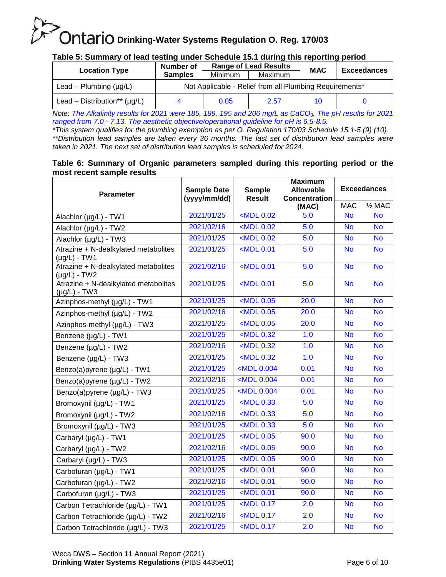#### **Table 5: Summary of lead testing under Schedule 15.1 during this reporting period**

|                                   | <b>Range of Lead Results</b><br>Number of               |         |         | <b>MAC</b> | <b>Exceedances</b> |  |  |  |
|-----------------------------------|---------------------------------------------------------|---------|---------|------------|--------------------|--|--|--|
| <b>Location Type</b>              | <b>Samples</b>                                          | Minimum | Maximum |            |                    |  |  |  |
| Lead – Plumbing $(\mu g/L)$       | Not Applicable - Relief from all Plumbing Requirements* |         |         |            |                    |  |  |  |
| Lead – Distribution** $(\mu q/L)$ |                                                         | 0.05    | 2.57    | 10         |                    |  |  |  |

*Note: The Alkalinity results for 2021 were 185, 189, 195 and 206 mg/L as CaCO3. The pH results for 2021 ranged from 7.0 - 7.13. The aesthetic objective/operational guideline for pH is 6.5-8.5.*

*\*This system qualifies for the plumbing exemption as per O. Regulation 170/03 Schedule 15.1-5 (9) (10). \*\*Distribution lead samples are taken every 36 months. The last set of distribution lead samples were taken in 2021. The next set of distribution lead samples is scheduled for 2024.*

#### **Table 6: Summary of Organic parameters sampled during this reporting period or the most recent sample results**

| <b>Parameter</b>                                          | <b>Sample Date</b><br>(yyyy/mm/dd) | <b>Sample</b><br><b>Result</b>                                                                               | <b>Maximum</b><br><b>Allowable</b><br><b>Concentration</b> | <b>Exceedances</b> |                   |  |
|-----------------------------------------------------------|------------------------------------|--------------------------------------------------------------------------------------------------------------|------------------------------------------------------------|--------------------|-------------------|--|
|                                                           |                                    |                                                                                                              | (MAC)                                                      | <b>MAC</b>         | $\frac{1}{2}$ MAC |  |
| Alachlor (µg/L) - TW1                                     | 2021/01/25                         | $<$ MDL 0.02                                                                                                 | 5.0                                                        | <b>No</b>          | <b>No</b>         |  |
| Alachlor (µg/L) - TW2                                     | 2021/02/16                         | $\overline{\text{cMDL}}$ 0.02                                                                                | 5.0                                                        | <b>No</b>          | <b>No</b>         |  |
| Alachlor (µg/L) - TW3                                     | 2021/01/25                         | $<$ MDL 0.02                                                                                                 | 5.0                                                        | <b>No</b>          | <b>No</b>         |  |
| Atrazine + N-dealkylated metabolites<br>$(\mu g/L)$ - TW1 | 2021/01/25                         | <mdl 0.01<="" td=""><td>5.0</td><td><b>No</b></td><td><b>No</b></td></mdl>                                   | 5.0                                                        | <b>No</b>          | <b>No</b>         |  |
| Atrazine + N-dealkylated metabolites<br>$(\mu g/L)$ - TW2 | 2021/02/16                         | $<$ MDL 0.01                                                                                                 | 5.0                                                        | <b>No</b>          | <b>No</b>         |  |
| Atrazine + N-dealkylated metabolites<br>$(\mu g/L)$ - TW3 | 2021/01/25                         | <mdl 0.01<="" td=""><td>5.0</td><td><b>No</b></td><td><b>No</b></td></mdl>                                   | 5.0                                                        | <b>No</b>          | <b>No</b>         |  |
| Azinphos-methyl (µg/L) - TW1                              | 2021/01/25                         | $MDL$ 0.05                                                                                                   | 20.0                                                       | <b>No</b>          | <b>No</b>         |  |
| Azinphos-methyl (µg/L) - TW2                              | 2021/02/16                         | $<$ MDL 0.05                                                                                                 | 20.0                                                       | <b>No</b>          | <b>No</b>         |  |
| Azinphos-methyl (µg/L) - TW3                              | 2021/01/25                         | $MDL$ 0.05                                                                                                   | 20.0                                                       | <b>No</b>          | <b>No</b>         |  |
| Benzene (µg/L) - TW1                                      | 2021/01/25                         | <mdl 0.32<="" td=""><td>1.0</td><td><b>No</b></td><td><b>No</b></td></mdl>                                   | 1.0                                                        | <b>No</b>          | <b>No</b>         |  |
| Benzene (µg/L) - TW2                                      | 2021/02/16                         | <mdl 0.32<="" td=""><td>1.0</td><td><b>No</b></td><td><b>No</b></td></mdl>                                   | 1.0                                                        | <b>No</b>          | <b>No</b>         |  |
| Benzene (µg/L) - TW3                                      | 2021/01/25                         | $MDL$ 0.32                                                                                                   | 1.0                                                        | <b>No</b>          | <b>No</b>         |  |
| Benzo(a)pyrene (µg/L) - TW1                               | 2021/01/25                         | <mdl 0.004<="" td=""><td>0.01</td><td><b>No</b></td><td><b>No</b></td></mdl>                                 | 0.01                                                       | <b>No</b>          | <b>No</b>         |  |
| Benzo(a)pyrene (µg/L) - TW2                               | 2021/02/16                         | <mdl 0.004<="" td=""><td>0.01</td><td><math>\overline{N}</math></td><td><math>\overline{N}</math></td></mdl> | 0.01                                                       | $\overline{N}$     | $\overline{N}$    |  |
| Benzo(a)pyrene (µg/L) - TW3                               | 2021/01/25                         | <mdl 0.004<="" td=""><td>0.01</td><td><b>No</b></td><td><b>No</b></td></mdl>                                 | 0.01                                                       | <b>No</b>          | <b>No</b>         |  |
| Bromoxynil (µg/L) - TW1                                   | 2021/01/25                         | $\sim$ MDL 0.33                                                                                              | 5.0                                                        | <b>No</b>          | <b>No</b>         |  |
| Bromoxynil (µg/L) - TW2                                   | 2021/02/16                         | <mdl 0.33<="" td=""><td>5.0</td><td><b>No</b></td><td><b>No</b></td></mdl>                                   | 5.0                                                        | <b>No</b>          | <b>No</b>         |  |
| Bromoxynil (µg/L) - TW3                                   | 2021/01/25                         | $MDL$ 0.33                                                                                                   | 5.0                                                        | <b>No</b>          | <b>No</b>         |  |
| Carbaryl (µg/L) - TW1                                     | 2021/01/25                         | $<$ MDL 0.05                                                                                                 | 90.0                                                       | <b>No</b>          | <b>No</b>         |  |
| Carbaryl (µg/L) - TW2                                     | 2021/02/16                         | <mdl 0.05<="" td=""><td>90.0</td><td><b>No</b></td><td><b>No</b></td></mdl>                                  | 90.0                                                       | <b>No</b>          | <b>No</b>         |  |
| Carbaryl (µg/L) - TW3                                     | 2021/01/25                         | $<$ MDL $0.05$                                                                                               | 90.0                                                       | <b>No</b>          | <b>No</b>         |  |
| Carbofuran (µg/L) - TW1                                   | 2021/01/25                         | <mdl 0.01<="" td=""><td>90.0</td><td><b>No</b></td><td><b>No</b></td></mdl>                                  | 90.0                                                       | <b>No</b>          | <b>No</b>         |  |
| Carbofuran (µg/L) - TW2                                   | 2021/02/16                         | <mdl 0.01<="" td=""><td>90.0</td><td><b>No</b></td><td><b>No</b></td></mdl>                                  | 90.0                                                       | <b>No</b>          | <b>No</b>         |  |
| Carbofuran (µg/L) - TW3                                   | 2021/01/25                         | <mdl 0.01<="" td=""><td>90.0</td><td><b>No</b></td><td><b>No</b></td></mdl>                                  | 90.0                                                       | <b>No</b>          | <b>No</b>         |  |
| Carbon Tetrachloride (µg/L) - TW1                         | 2021/01/25                         | $MDL$ 0.17                                                                                                   | 2.0                                                        | <b>No</b>          | <b>No</b>         |  |
| Carbon Tetrachloride (µg/L) - TW2                         | 2021/02/16                         | <mdl 0.17<="" td=""><td>2.0</td><td><b>No</b></td><td><b>No</b></td></mdl>                                   | 2.0                                                        | <b>No</b>          | <b>No</b>         |  |
| Carbon Tetrachloride (µg/L) - TW3                         | 2021/01/25                         | $<$ MDL 0.17                                                                                                 | 2.0                                                        | <b>No</b>          | <b>No</b>         |  |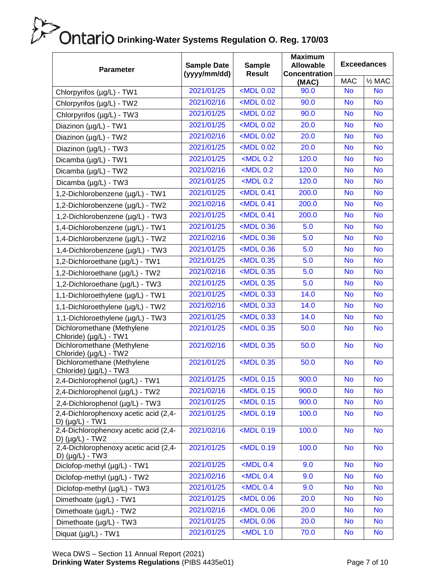| <b>Parameter</b>                                              | <b>Sample Date</b><br>(yyyy/mm/dd) | <b>Sample</b><br><b>Result</b>                                               | <b>Maximum</b><br><b>Allowable</b><br><b>Concentration</b> | <b>Exceedances</b> |                   |  |
|---------------------------------------------------------------|------------------------------------|------------------------------------------------------------------------------|------------------------------------------------------------|--------------------|-------------------|--|
|                                                               |                                    |                                                                              | (MAC)                                                      | <b>MAC</b>         | $\frac{1}{2}$ MAC |  |
| Chlorpyrifos (µg/L) - TW1                                     | 2021/01/25                         | <mdl 0.02<="" td=""><td>90.0</td><td><b>No</b></td><td><b>No</b></td></mdl>  | 90.0                                                       | <b>No</b>          | <b>No</b>         |  |
| Chlorpyrifos (µg/L) - TW2                                     | 2021/02/16                         | <mdl 0.02<="" td=""><td>90.0</td><td><b>No</b></td><td><b>No</b></td></mdl>  | 90.0                                                       | <b>No</b>          | <b>No</b>         |  |
| Chlorpyrifos (µg/L) - TW3                                     | 2021/01/25                         | <mdl 0.02<="" td=""><td>90.0</td><td><b>No</b></td><td><b>No</b></td></mdl>  | 90.0                                                       | <b>No</b>          | <b>No</b>         |  |
| Diazinon (µg/L) - TW1                                         | 2021/01/25                         | <mdl 0.02<="" td=""><td>20.0</td><td><b>No</b></td><td><b>No</b></td></mdl>  | 20.0                                                       | <b>No</b>          | <b>No</b>         |  |
| Diazinon (µg/L) - TW2                                         | 2021/02/16                         | <mdl 0.02<="" td=""><td>20.0</td><td><b>No</b></td><td><b>No</b></td></mdl>  | 20.0                                                       | <b>No</b>          | <b>No</b>         |  |
| Diazinon (µg/L) - TW3                                         | 2021/01/25                         | <mdl 0.02<="" td=""><td>20.0</td><td><b>No</b></td><td><b>No</b></td></mdl>  | 20.0                                                       | <b>No</b>          | <b>No</b>         |  |
| Dicamba (µg/L) - TW1                                          | 2021/01/25                         | $MDL$ 0.2                                                                    | 120.0                                                      | <b>No</b>          | <b>No</b>         |  |
| Dicamba (µg/L) - TW2                                          | 2021/02/16                         | $MDL$ 0.2                                                                    | 120.0                                                      | <b>No</b>          | <b>No</b>         |  |
| Dicamba (µg/L) - TW3                                          | 2021/01/25                         | $<$ MDL 0.2                                                                  | 120.0                                                      | <b>No</b>          | <b>No</b>         |  |
| 1,2-Dichlorobenzene (µg/L) - TW1                              | 2021/01/25                         | <mdl 0.41<="" td=""><td>200.0</td><td><b>No</b></td><td><b>No</b></td></mdl> | 200.0                                                      | <b>No</b>          | <b>No</b>         |  |
| 1,2-Dichlorobenzene (µg/L) - TW2                              | 2021/02/16                         | $<$ MDL 0.41                                                                 | 200.0                                                      | <b>No</b>          | <b>No</b>         |  |
| 1,2-Dichlorobenzene (µg/L) - TW3                              | 2021/01/25                         | <mdl 0.41<="" td=""><td>200.0</td><td><b>No</b></td><td><b>No</b></td></mdl> | 200.0                                                      | <b>No</b>          | <b>No</b>         |  |
| 1,4-Dichlorobenzene (µg/L) - TW1                              | 2021/01/25                         | $<$ MDL 0.36                                                                 | 5.0                                                        | <b>No</b>          | <b>No</b>         |  |
| 1,4-Dichlorobenzene (µg/L) - TW2                              | 2021/02/16                         | $\sim$ MDL 0.36                                                              | 5.0                                                        | <b>No</b>          | <b>No</b>         |  |
| 1,4-Dichlorobenzene (µg/L) - TW3                              | 2021/01/25                         | <mdl 0.36<="" td=""><td>5.0</td><td><b>No</b></td><td><b>No</b></td></mdl>   | 5.0                                                        | <b>No</b>          | <b>No</b>         |  |
| 1,2-Dichloroethane (µg/L) - TW1                               | 2021/01/25                         | <mdl 0.35<="" td=""><td>5.0</td><td><b>No</b></td><td><b>No</b></td></mdl>   | 5.0                                                        | <b>No</b>          | <b>No</b>         |  |
| 1,2-Dichloroethane (µg/L) - TW2                               | 2021/02/16                         | <mdl 0.35<="" td=""><td>5.0</td><td><b>No</b></td><td><b>No</b></td></mdl>   | 5.0                                                        | <b>No</b>          | <b>No</b>         |  |
| 1,2-Dichloroethane (µg/L) - TW3                               | 2021/01/25                         | <mdl 0.35<="" td=""><td>5.0</td><td><b>No</b></td><td><b>No</b></td></mdl>   | 5.0                                                        | <b>No</b>          | <b>No</b>         |  |
| 1,1-Dichloroethylene (µg/L) - TW1                             | 2021/01/25                         | $MDL$ 0.33                                                                   | 14.0                                                       | <b>No</b>          | <b>No</b>         |  |
| 1,1-Dichloroethylene (µg/L) - TW2                             | 2021/02/16                         | <mdl 0.33<="" td=""><td>14.0</td><td><b>No</b></td><td><b>No</b></td></mdl>  | 14.0                                                       | <b>No</b>          | <b>No</b>         |  |
| 1,1-Dichloroethylene (µg/L) - TW3                             | 2021/01/25                         | <mdl 0.33<="" td=""><td>14.0</td><td><b>No</b></td><td><b>No</b></td></mdl>  | 14.0                                                       | <b>No</b>          | <b>No</b>         |  |
| Dichloromethane (Methylene<br>Chloride) (µg/L) - TW1          | 2021/01/25                         | $<$ MDL 0.35                                                                 | 50.0                                                       | <b>No</b>          | <b>No</b>         |  |
| Dichloromethane (Methylene<br>Chloride) (µg/L) - TW2          | 2021/02/16                         | <mdl 0.35<="" td=""><td>50.0</td><td><b>No</b></td><td><b>No</b></td></mdl>  | 50.0                                                       | <b>No</b>          | <b>No</b>         |  |
| Dichloromethane (Methylene<br>Chloride) (µg/L) - TW3          | 2021/01/25                         | <mdl 0.35<="" td=""><td>50.0</td><td><b>No</b></td><td><b>No</b></td></mdl>  | 50.0                                                       | <b>No</b>          | <b>No</b>         |  |
| 2,4-Dichlorophenol (µg/L) - TW1                               | 2021/01/25                         | <mdl 0.15<="" td=""><td>900.0</td><td><b>No</b></td><td><b>No</b></td></mdl> | 900.0                                                      | <b>No</b>          | <b>No</b>         |  |
| 2,4-Dichlorophenol (µg/L) - TW2                               | 2021/02/16                         | $<$ MDL 0.15                                                                 | 900.0                                                      | <b>No</b>          | <b>No</b>         |  |
| 2,4-Dichlorophenol (µg/L) - TW3                               | 2021/01/25                         | $<$ MDL 0.15                                                                 | 900.0                                                      | <b>No</b>          | <b>No</b>         |  |
| 2,4-Dichlorophenoxy acetic acid (2,4-<br>D) $(\mu g/L)$ - TW1 | 2021/01/25                         | <mdl 0.19<="" td=""><td>100.0</td><td><b>No</b></td><td><b>No</b></td></mdl> | 100.0                                                      | <b>No</b>          | <b>No</b>         |  |
| 2,4-Dichlorophenoxy acetic acid (2,4-<br>D) $(\mu g/L)$ - TW2 | 2021/02/16                         | <mdl 0.19<="" td=""><td>100.0</td><td><b>No</b></td><td><b>No</b></td></mdl> | 100.0                                                      | <b>No</b>          | <b>No</b>         |  |
| 2,4-Dichlorophenoxy acetic acid (2,4-<br>D) $(\mu g/L)$ - TW3 | 2021/01/25                         | <mdl 0.19<="" td=""><td>100.0</td><td><b>No</b></td><td><b>No</b></td></mdl> | 100.0                                                      | <b>No</b>          | <b>No</b>         |  |
| Diclofop-methyl (µg/L) - TW1                                  | 2021/01/25                         | $<$ MDL 0.4                                                                  | 9.0                                                        | <b>No</b>          | <b>No</b>         |  |
| Diclofop-methyl (µg/L) - TW2                                  | 2021/02/16                         | $<$ MDL 0.4                                                                  | 9.0                                                        | <b>No</b>          | <b>No</b>         |  |
| Diclofop-methyl (µg/L) - TW3                                  | 2021/01/25                         | $<$ MDL 0.4                                                                  | 9.0                                                        | <b>No</b>          | <b>No</b>         |  |
| Dimethoate (µg/L) - TW1                                       | 2021/01/25                         | $<$ MDL $0.06$                                                               | 20.0                                                       | <b>No</b>          | <b>No</b>         |  |
| Dimethoate (µg/L) - TW2                                       | 2021/02/16                         | $<$ MDL $0.06$                                                               | 20.0                                                       | <b>No</b>          | <b>No</b>         |  |
| Dimethoate (µg/L) - TW3                                       | 2021/01/25                         | $<$ MDL $0.06$                                                               | 20.0                                                       | <b>No</b>          | <b>No</b>         |  |
| Diquat (µg/L) - TW1                                           | 2021/01/25                         | $<$ MDL 1.0                                                                  | 70.0                                                       | <b>No</b>          | <b>No</b>         |  |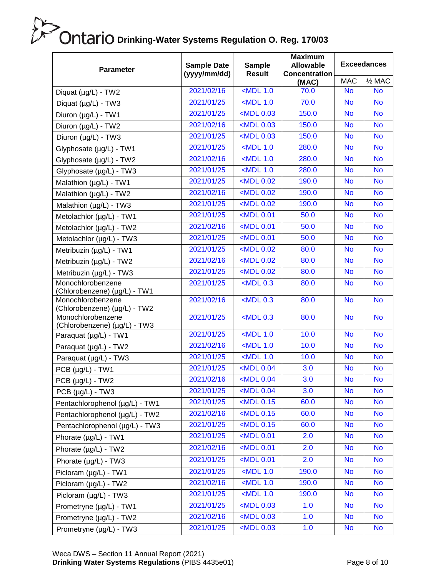| <b>MAC</b><br>$\frac{1}{2}$ MAC<br>(MAC)<br>2021/02/16<br>$<$ MDL 1.0<br>70.0<br><b>No</b><br><b>No</b><br>Diquat (µg/L) - TW2<br>2021/01/25<br>$<$ MDL 1.0<br>70.0<br><b>No</b><br><b>No</b><br>Diquat (µg/L) - TW3<br>$MDL$ 0.03<br>2021/01/25<br>150.0<br><b>No</b><br><b>No</b><br>Diuron (µg/L) - TW1<br>2021/02/16<br><mdl 0.03<br="">150.0<br/><b>No</b><br/><b>No</b><br/>Diuron (µg/L) - TW2<br/><mdl 0.03<br="">2021/01/25<br/>150.0<br/><b>No</b><br/><b>No</b><br/>Diuron (µg/L) - TW3<br/>2021/01/25<br/><math>&lt;</math>MDL 1.0<br/>280.0<br/><b>No</b><br/><b>No</b><br/>Glyphosate (µg/L) - TW1<br/>2021/02/16<br/><math>&lt;</math>MDL 1.0<br/>280.0<br/><b>No</b><br/><b>No</b><br/>Glyphosate (µg/L) - TW2<br/><math>&lt;</math>MDL 1.0<br/>2021/01/25<br/>280.0<br/><b>No</b><br/><b>No</b><br/>Glyphosate (µg/L) - TW3<br/>2021/01/25<br/><mdl 0.02<br="">190.0<br/><b>No</b><br/><b>No</b><br/>Malathion (µg/L) - TW1<br/>2021/02/16<br/><math>&lt;</math>MDL <math>0.02</math><br/>190.0<br/><b>No</b><br/><b>No</b><br/>Malathion (µg/L) - TW2<br/><mdl 0.02<br="">2021/01/25<br/>190.0<br/><b>No</b><br/><b>No</b><br/>Malathion (µg/L) - TW3<br/>2021/01/25<br/><mdl 0.01<br="">50.0<br/><b>No</b><br/><b>No</b><br/>Metolachlor (µg/L) - TW1<br/>2021/02/16<br/><math>&lt;</math>MDL 0.01<br/>50.0<br/><b>No</b><br/><b>No</b><br/>Metolachlor (µg/L) - TW2<br/><mdl 0.01<br="">2021/01/25<br/>50.0<br/><b>No</b><br/><b>No</b><br/>Metolachlor (µg/L) - TW3<br/><mdl 0.02<br="">2021/01/25<br/><b>No</b><br/>80.0<br/><b>No</b><br/>Metribuzin (µg/L) - TW1<br/>2021/02/16<br/><math>&lt;</math>MDL 0.02<br/>80.0<br/><b>No</b><br/><b>No</b><br/>Metribuzin (µg/L) - TW2<br/><mdl 0.02<br="">2021/01/25<br/>80.0<br/><b>No</b><br/><b>No</b><br/>Metribuzin (µg/L) - TW3<br/>Monochlorobenzene<br/>2021/01/25<br/><math>&lt;</math>MDL 0.3<br/>80.0<br/><b>No</b><br/><b>No</b><br/>(Chlorobenzene) (µg/L) - TW1<br/>Monochlorobenzene<br/>2021/02/16<br/><math>&lt;</math>MDL 0.3<br/>80.0<br/><b>No</b><br/><b>No</b><br/>(Chlorobenzene) (µg/L) - TW2<br/>2021/01/25<br/><math>&lt;</math>MDL 0.3<br/>80.0<br/><b>No</b><br/>Monochlorobenzene<br/><b>No</b><br/>(Chlorobenzene) (µg/L) - TW3<br/>2021/01/25<br/><math>&lt;</math>MDL 1.0<br/>10.0<br/><b>No</b><br/><b>No</b><br/>Paraquat (µg/L) - TW1<br/><math>&lt;</math>MDL 1.0<br/>2021/02/16<br/>10.0<br/><b>No</b><br/><b>No</b><br/>Paraquat (µg/L) - TW2<br/>2021/01/25<br/><math>&lt;</math>MDL 1.0<br/>10.0<br/><b>No</b><br/><b>No</b><br/>Paraquat (µg/L) - TW3<br/>2021/01/25<br/><mdl 0.04<br="">3.0<br/><b>No</b><br/><b>No</b><br/>PCB (µg/L) - TW1<br/>2021/02/16<br/><mdl 0.04<br="">3.0<br/><b>No</b><br/><b>No</b><br/>PCB (µg/L) - TW2<br/>2021/01/25<br/><math>&lt;</math>MDL 0.04<br/>3.0<br/><b>No</b><br/><b>No</b><br/><math>PCB (µg/L) - TW3</math><br/><math>\sim</math>MDL 0.15<br/>2021/01/25<br/>60.0<br/><b>No</b><br/><b>No</b><br/>Pentachlorophenol (µg/L) - TW1<br/>60.0<br/>2021/02/16<br/><math>&lt;</math>MDL 0.15<br/><b>No</b><br/><b>No</b><br/>Pentachlorophenol (µg/L) - TW2<br/><math>&lt;</math>MDL 0.15<br/>60.0<br/>2021/01/25<br/><b>No</b><br/><b>No</b><br/>Pentachlorophenol (µg/L) - TW3<br/><mdl 0.01<br="">2021/01/25<br/>2.0<br/><b>No</b><br/><b>No</b><br/>Phorate (µg/L) - TW1<br/><math>&lt;</math>MDL 0.01<br/>2021/02/16<br/>2.0<br/><b>No</b><br/><b>No</b><br/>Phorate (µg/L) - TW2<br/><mdl 0.01<br="">2021/01/25<br/>2.0<br/><b>No</b><br/><b>No</b><br/>Phorate (µg/L) - TW3<br/><math>&lt;</math>MDL 1.0<br/>2021/01/25<br/>190.0<br/><b>No</b><br/><b>No</b><br/>Picloram (µg/L) - TW1<br/>2021/02/16<br/><math>&lt;</math>MDL 1.0<br/>190.0<br/><b>No</b><br/><b>No</b><br/>Picloram (µg/L) - TW2<br/><math>&lt;</math>MDL 1.0<br/>2021/01/25<br/>190.0<br/><b>No</b><br/><b>No</b><br/>Picloram (µg/L) - TW3<br/><math>MDL</math> 0.03<br/>2021/01/25<br/>1.0<br/><b>No</b><br/><b>No</b><br/>Prometryne (µg/L) - TW1<br/><math>MDL</math> 0.03<br/>2021/02/16<br/>1.0<br/><b>No</b><br/><b>No</b><br/>Prometryne (µg/L) - TW2<br/>2021/01/25<br/><math>MDL</math> 0.03<br/>1.0<br/><b>No</b><br/><b>No</b></mdl></mdl></mdl></mdl></mdl></mdl></mdl></mdl></mdl></mdl></mdl></mdl> | <b>Parameter</b>        | <b>Sample Date</b><br>(yyyy/mm/dd) | <b>Sample</b><br><b>Result</b> | <b>Maximum</b><br><b>Allowable</b><br><b>Concentration</b> | <b>Exceedances</b> |  |
|------------------------------------------------------------------------------------------------------------------------------------------------------------------------------------------------------------------------------------------------------------------------------------------------------------------------------------------------------------------------------------------------------------------------------------------------------------------------------------------------------------------------------------------------------------------------------------------------------------------------------------------------------------------------------------------------------------------------------------------------------------------------------------------------------------------------------------------------------------------------------------------------------------------------------------------------------------------------------------------------------------------------------------------------------------------------------------------------------------------------------------------------------------------------------------------------------------------------------------------------------------------------------------------------------------------------------------------------------------------------------------------------------------------------------------------------------------------------------------------------------------------------------------------------------------------------------------------------------------------------------------------------------------------------------------------------------------------------------------------------------------------------------------------------------------------------------------------------------------------------------------------------------------------------------------------------------------------------------------------------------------------------------------------------------------------------------------------------------------------------------------------------------------------------------------------------------------------------------------------------------------------------------------------------------------------------------------------------------------------------------------------------------------------------------------------------------------------------------------------------------------------------------------------------------------------------------------------------------------------------------------------------------------------------------------------------------------------------------------------------------------------------------------------------------------------------------------------------------------------------------------------------------------------------------------------------------------------------------------------------------------------------------------------------------------------------------------------------------------------------------------------------------------------------------------------------------------------------------------------------------------------------------------------------------------------------------------------------------------------------------------------------------------------------------------------------------------------------------------------------------------------------------------------------------------------------------------------------------------------------------------------------------------------------------------------------------------------------------------------------------------------------------------------------------------------------------------------------------------------------------------------------------------------------------------------------------------------------------------------------------------------------------------------------------------------------------------------------------------------------------------------------------------------------------------------------------------------------------------------------|-------------------------|------------------------------------|--------------------------------|------------------------------------------------------------|--------------------|--|
|                                                                                                                                                                                                                                                                                                                                                                                                                                                                                                                                                                                                                                                                                                                                                                                                                                                                                                                                                                                                                                                                                                                                                                                                                                                                                                                                                                                                                                                                                                                                                                                                                                                                                                                                                                                                                                                                                                                                                                                                                                                                                                                                                                                                                                                                                                                                                                                                                                                                                                                                                                                                                                                                                                                                                                                                                                                                                                                                                                                                                                                                                                                                                                                                                                                                                                                                                                                                                                                                                                                                                                                                                                                                                                                                                                                                                                                                                                                                                                                                                                                                                                                                                                                                                                                |                         |                                    |                                |                                                            |                    |  |
|                                                                                                                                                                                                                                                                                                                                                                                                                                                                                                                                                                                                                                                                                                                                                                                                                                                                                                                                                                                                                                                                                                                                                                                                                                                                                                                                                                                                                                                                                                                                                                                                                                                                                                                                                                                                                                                                                                                                                                                                                                                                                                                                                                                                                                                                                                                                                                                                                                                                                                                                                                                                                                                                                                                                                                                                                                                                                                                                                                                                                                                                                                                                                                                                                                                                                                                                                                                                                                                                                                                                                                                                                                                                                                                                                                                                                                                                                                                                                                                                                                                                                                                                                                                                                                                |                         |                                    |                                |                                                            |                    |  |
|                                                                                                                                                                                                                                                                                                                                                                                                                                                                                                                                                                                                                                                                                                                                                                                                                                                                                                                                                                                                                                                                                                                                                                                                                                                                                                                                                                                                                                                                                                                                                                                                                                                                                                                                                                                                                                                                                                                                                                                                                                                                                                                                                                                                                                                                                                                                                                                                                                                                                                                                                                                                                                                                                                                                                                                                                                                                                                                                                                                                                                                                                                                                                                                                                                                                                                                                                                                                                                                                                                                                                                                                                                                                                                                                                                                                                                                                                                                                                                                                                                                                                                                                                                                                                                                |                         |                                    |                                |                                                            |                    |  |
|                                                                                                                                                                                                                                                                                                                                                                                                                                                                                                                                                                                                                                                                                                                                                                                                                                                                                                                                                                                                                                                                                                                                                                                                                                                                                                                                                                                                                                                                                                                                                                                                                                                                                                                                                                                                                                                                                                                                                                                                                                                                                                                                                                                                                                                                                                                                                                                                                                                                                                                                                                                                                                                                                                                                                                                                                                                                                                                                                                                                                                                                                                                                                                                                                                                                                                                                                                                                                                                                                                                                                                                                                                                                                                                                                                                                                                                                                                                                                                                                                                                                                                                                                                                                                                                |                         |                                    |                                |                                                            |                    |  |
|                                                                                                                                                                                                                                                                                                                                                                                                                                                                                                                                                                                                                                                                                                                                                                                                                                                                                                                                                                                                                                                                                                                                                                                                                                                                                                                                                                                                                                                                                                                                                                                                                                                                                                                                                                                                                                                                                                                                                                                                                                                                                                                                                                                                                                                                                                                                                                                                                                                                                                                                                                                                                                                                                                                                                                                                                                                                                                                                                                                                                                                                                                                                                                                                                                                                                                                                                                                                                                                                                                                                                                                                                                                                                                                                                                                                                                                                                                                                                                                                                                                                                                                                                                                                                                                |                         |                                    |                                |                                                            |                    |  |
|                                                                                                                                                                                                                                                                                                                                                                                                                                                                                                                                                                                                                                                                                                                                                                                                                                                                                                                                                                                                                                                                                                                                                                                                                                                                                                                                                                                                                                                                                                                                                                                                                                                                                                                                                                                                                                                                                                                                                                                                                                                                                                                                                                                                                                                                                                                                                                                                                                                                                                                                                                                                                                                                                                                                                                                                                                                                                                                                                                                                                                                                                                                                                                                                                                                                                                                                                                                                                                                                                                                                                                                                                                                                                                                                                                                                                                                                                                                                                                                                                                                                                                                                                                                                                                                |                         |                                    |                                |                                                            |                    |  |
|                                                                                                                                                                                                                                                                                                                                                                                                                                                                                                                                                                                                                                                                                                                                                                                                                                                                                                                                                                                                                                                                                                                                                                                                                                                                                                                                                                                                                                                                                                                                                                                                                                                                                                                                                                                                                                                                                                                                                                                                                                                                                                                                                                                                                                                                                                                                                                                                                                                                                                                                                                                                                                                                                                                                                                                                                                                                                                                                                                                                                                                                                                                                                                                                                                                                                                                                                                                                                                                                                                                                                                                                                                                                                                                                                                                                                                                                                                                                                                                                                                                                                                                                                                                                                                                |                         |                                    |                                |                                                            |                    |  |
|                                                                                                                                                                                                                                                                                                                                                                                                                                                                                                                                                                                                                                                                                                                                                                                                                                                                                                                                                                                                                                                                                                                                                                                                                                                                                                                                                                                                                                                                                                                                                                                                                                                                                                                                                                                                                                                                                                                                                                                                                                                                                                                                                                                                                                                                                                                                                                                                                                                                                                                                                                                                                                                                                                                                                                                                                                                                                                                                                                                                                                                                                                                                                                                                                                                                                                                                                                                                                                                                                                                                                                                                                                                                                                                                                                                                                                                                                                                                                                                                                                                                                                                                                                                                                                                |                         |                                    |                                |                                                            |                    |  |
|                                                                                                                                                                                                                                                                                                                                                                                                                                                                                                                                                                                                                                                                                                                                                                                                                                                                                                                                                                                                                                                                                                                                                                                                                                                                                                                                                                                                                                                                                                                                                                                                                                                                                                                                                                                                                                                                                                                                                                                                                                                                                                                                                                                                                                                                                                                                                                                                                                                                                                                                                                                                                                                                                                                                                                                                                                                                                                                                                                                                                                                                                                                                                                                                                                                                                                                                                                                                                                                                                                                                                                                                                                                                                                                                                                                                                                                                                                                                                                                                                                                                                                                                                                                                                                                |                         |                                    |                                |                                                            |                    |  |
|                                                                                                                                                                                                                                                                                                                                                                                                                                                                                                                                                                                                                                                                                                                                                                                                                                                                                                                                                                                                                                                                                                                                                                                                                                                                                                                                                                                                                                                                                                                                                                                                                                                                                                                                                                                                                                                                                                                                                                                                                                                                                                                                                                                                                                                                                                                                                                                                                                                                                                                                                                                                                                                                                                                                                                                                                                                                                                                                                                                                                                                                                                                                                                                                                                                                                                                                                                                                                                                                                                                                                                                                                                                                                                                                                                                                                                                                                                                                                                                                                                                                                                                                                                                                                                                |                         |                                    |                                |                                                            |                    |  |
|                                                                                                                                                                                                                                                                                                                                                                                                                                                                                                                                                                                                                                                                                                                                                                                                                                                                                                                                                                                                                                                                                                                                                                                                                                                                                                                                                                                                                                                                                                                                                                                                                                                                                                                                                                                                                                                                                                                                                                                                                                                                                                                                                                                                                                                                                                                                                                                                                                                                                                                                                                                                                                                                                                                                                                                                                                                                                                                                                                                                                                                                                                                                                                                                                                                                                                                                                                                                                                                                                                                                                                                                                                                                                                                                                                                                                                                                                                                                                                                                                                                                                                                                                                                                                                                |                         |                                    |                                |                                                            |                    |  |
|                                                                                                                                                                                                                                                                                                                                                                                                                                                                                                                                                                                                                                                                                                                                                                                                                                                                                                                                                                                                                                                                                                                                                                                                                                                                                                                                                                                                                                                                                                                                                                                                                                                                                                                                                                                                                                                                                                                                                                                                                                                                                                                                                                                                                                                                                                                                                                                                                                                                                                                                                                                                                                                                                                                                                                                                                                                                                                                                                                                                                                                                                                                                                                                                                                                                                                                                                                                                                                                                                                                                                                                                                                                                                                                                                                                                                                                                                                                                                                                                                                                                                                                                                                                                                                                |                         |                                    |                                |                                                            |                    |  |
|                                                                                                                                                                                                                                                                                                                                                                                                                                                                                                                                                                                                                                                                                                                                                                                                                                                                                                                                                                                                                                                                                                                                                                                                                                                                                                                                                                                                                                                                                                                                                                                                                                                                                                                                                                                                                                                                                                                                                                                                                                                                                                                                                                                                                                                                                                                                                                                                                                                                                                                                                                                                                                                                                                                                                                                                                                                                                                                                                                                                                                                                                                                                                                                                                                                                                                                                                                                                                                                                                                                                                                                                                                                                                                                                                                                                                                                                                                                                                                                                                                                                                                                                                                                                                                                |                         |                                    |                                |                                                            |                    |  |
|                                                                                                                                                                                                                                                                                                                                                                                                                                                                                                                                                                                                                                                                                                                                                                                                                                                                                                                                                                                                                                                                                                                                                                                                                                                                                                                                                                                                                                                                                                                                                                                                                                                                                                                                                                                                                                                                                                                                                                                                                                                                                                                                                                                                                                                                                                                                                                                                                                                                                                                                                                                                                                                                                                                                                                                                                                                                                                                                                                                                                                                                                                                                                                                                                                                                                                                                                                                                                                                                                                                                                                                                                                                                                                                                                                                                                                                                                                                                                                                                                                                                                                                                                                                                                                                |                         |                                    |                                |                                                            |                    |  |
|                                                                                                                                                                                                                                                                                                                                                                                                                                                                                                                                                                                                                                                                                                                                                                                                                                                                                                                                                                                                                                                                                                                                                                                                                                                                                                                                                                                                                                                                                                                                                                                                                                                                                                                                                                                                                                                                                                                                                                                                                                                                                                                                                                                                                                                                                                                                                                                                                                                                                                                                                                                                                                                                                                                                                                                                                                                                                                                                                                                                                                                                                                                                                                                                                                                                                                                                                                                                                                                                                                                                                                                                                                                                                                                                                                                                                                                                                                                                                                                                                                                                                                                                                                                                                                                |                         |                                    |                                |                                                            |                    |  |
|                                                                                                                                                                                                                                                                                                                                                                                                                                                                                                                                                                                                                                                                                                                                                                                                                                                                                                                                                                                                                                                                                                                                                                                                                                                                                                                                                                                                                                                                                                                                                                                                                                                                                                                                                                                                                                                                                                                                                                                                                                                                                                                                                                                                                                                                                                                                                                                                                                                                                                                                                                                                                                                                                                                                                                                                                                                                                                                                                                                                                                                                                                                                                                                                                                                                                                                                                                                                                                                                                                                                                                                                                                                                                                                                                                                                                                                                                                                                                                                                                                                                                                                                                                                                                                                |                         |                                    |                                |                                                            |                    |  |
|                                                                                                                                                                                                                                                                                                                                                                                                                                                                                                                                                                                                                                                                                                                                                                                                                                                                                                                                                                                                                                                                                                                                                                                                                                                                                                                                                                                                                                                                                                                                                                                                                                                                                                                                                                                                                                                                                                                                                                                                                                                                                                                                                                                                                                                                                                                                                                                                                                                                                                                                                                                                                                                                                                                                                                                                                                                                                                                                                                                                                                                                                                                                                                                                                                                                                                                                                                                                                                                                                                                                                                                                                                                                                                                                                                                                                                                                                                                                                                                                                                                                                                                                                                                                                                                |                         |                                    |                                |                                                            |                    |  |
|                                                                                                                                                                                                                                                                                                                                                                                                                                                                                                                                                                                                                                                                                                                                                                                                                                                                                                                                                                                                                                                                                                                                                                                                                                                                                                                                                                                                                                                                                                                                                                                                                                                                                                                                                                                                                                                                                                                                                                                                                                                                                                                                                                                                                                                                                                                                                                                                                                                                                                                                                                                                                                                                                                                                                                                                                                                                                                                                                                                                                                                                                                                                                                                                                                                                                                                                                                                                                                                                                                                                                                                                                                                                                                                                                                                                                                                                                                                                                                                                                                                                                                                                                                                                                                                |                         |                                    |                                |                                                            |                    |  |
|                                                                                                                                                                                                                                                                                                                                                                                                                                                                                                                                                                                                                                                                                                                                                                                                                                                                                                                                                                                                                                                                                                                                                                                                                                                                                                                                                                                                                                                                                                                                                                                                                                                                                                                                                                                                                                                                                                                                                                                                                                                                                                                                                                                                                                                                                                                                                                                                                                                                                                                                                                                                                                                                                                                                                                                                                                                                                                                                                                                                                                                                                                                                                                                                                                                                                                                                                                                                                                                                                                                                                                                                                                                                                                                                                                                                                                                                                                                                                                                                                                                                                                                                                                                                                                                |                         |                                    |                                |                                                            |                    |  |
|                                                                                                                                                                                                                                                                                                                                                                                                                                                                                                                                                                                                                                                                                                                                                                                                                                                                                                                                                                                                                                                                                                                                                                                                                                                                                                                                                                                                                                                                                                                                                                                                                                                                                                                                                                                                                                                                                                                                                                                                                                                                                                                                                                                                                                                                                                                                                                                                                                                                                                                                                                                                                                                                                                                                                                                                                                                                                                                                                                                                                                                                                                                                                                                                                                                                                                                                                                                                                                                                                                                                                                                                                                                                                                                                                                                                                                                                                                                                                                                                                                                                                                                                                                                                                                                |                         |                                    |                                |                                                            |                    |  |
|                                                                                                                                                                                                                                                                                                                                                                                                                                                                                                                                                                                                                                                                                                                                                                                                                                                                                                                                                                                                                                                                                                                                                                                                                                                                                                                                                                                                                                                                                                                                                                                                                                                                                                                                                                                                                                                                                                                                                                                                                                                                                                                                                                                                                                                                                                                                                                                                                                                                                                                                                                                                                                                                                                                                                                                                                                                                                                                                                                                                                                                                                                                                                                                                                                                                                                                                                                                                                                                                                                                                                                                                                                                                                                                                                                                                                                                                                                                                                                                                                                                                                                                                                                                                                                                |                         |                                    |                                |                                                            |                    |  |
|                                                                                                                                                                                                                                                                                                                                                                                                                                                                                                                                                                                                                                                                                                                                                                                                                                                                                                                                                                                                                                                                                                                                                                                                                                                                                                                                                                                                                                                                                                                                                                                                                                                                                                                                                                                                                                                                                                                                                                                                                                                                                                                                                                                                                                                                                                                                                                                                                                                                                                                                                                                                                                                                                                                                                                                                                                                                                                                                                                                                                                                                                                                                                                                                                                                                                                                                                                                                                                                                                                                                                                                                                                                                                                                                                                                                                                                                                                                                                                                                                                                                                                                                                                                                                                                |                         |                                    |                                |                                                            |                    |  |
|                                                                                                                                                                                                                                                                                                                                                                                                                                                                                                                                                                                                                                                                                                                                                                                                                                                                                                                                                                                                                                                                                                                                                                                                                                                                                                                                                                                                                                                                                                                                                                                                                                                                                                                                                                                                                                                                                                                                                                                                                                                                                                                                                                                                                                                                                                                                                                                                                                                                                                                                                                                                                                                                                                                                                                                                                                                                                                                                                                                                                                                                                                                                                                                                                                                                                                                                                                                                                                                                                                                                                                                                                                                                                                                                                                                                                                                                                                                                                                                                                                                                                                                                                                                                                                                |                         |                                    |                                |                                                            |                    |  |
|                                                                                                                                                                                                                                                                                                                                                                                                                                                                                                                                                                                                                                                                                                                                                                                                                                                                                                                                                                                                                                                                                                                                                                                                                                                                                                                                                                                                                                                                                                                                                                                                                                                                                                                                                                                                                                                                                                                                                                                                                                                                                                                                                                                                                                                                                                                                                                                                                                                                                                                                                                                                                                                                                                                                                                                                                                                                                                                                                                                                                                                                                                                                                                                                                                                                                                                                                                                                                                                                                                                                                                                                                                                                                                                                                                                                                                                                                                                                                                                                                                                                                                                                                                                                                                                |                         |                                    |                                |                                                            |                    |  |
|                                                                                                                                                                                                                                                                                                                                                                                                                                                                                                                                                                                                                                                                                                                                                                                                                                                                                                                                                                                                                                                                                                                                                                                                                                                                                                                                                                                                                                                                                                                                                                                                                                                                                                                                                                                                                                                                                                                                                                                                                                                                                                                                                                                                                                                                                                                                                                                                                                                                                                                                                                                                                                                                                                                                                                                                                                                                                                                                                                                                                                                                                                                                                                                                                                                                                                                                                                                                                                                                                                                                                                                                                                                                                                                                                                                                                                                                                                                                                                                                                                                                                                                                                                                                                                                |                         |                                    |                                |                                                            |                    |  |
|                                                                                                                                                                                                                                                                                                                                                                                                                                                                                                                                                                                                                                                                                                                                                                                                                                                                                                                                                                                                                                                                                                                                                                                                                                                                                                                                                                                                                                                                                                                                                                                                                                                                                                                                                                                                                                                                                                                                                                                                                                                                                                                                                                                                                                                                                                                                                                                                                                                                                                                                                                                                                                                                                                                                                                                                                                                                                                                                                                                                                                                                                                                                                                                                                                                                                                                                                                                                                                                                                                                                                                                                                                                                                                                                                                                                                                                                                                                                                                                                                                                                                                                                                                                                                                                |                         |                                    |                                |                                                            |                    |  |
|                                                                                                                                                                                                                                                                                                                                                                                                                                                                                                                                                                                                                                                                                                                                                                                                                                                                                                                                                                                                                                                                                                                                                                                                                                                                                                                                                                                                                                                                                                                                                                                                                                                                                                                                                                                                                                                                                                                                                                                                                                                                                                                                                                                                                                                                                                                                                                                                                                                                                                                                                                                                                                                                                                                                                                                                                                                                                                                                                                                                                                                                                                                                                                                                                                                                                                                                                                                                                                                                                                                                                                                                                                                                                                                                                                                                                                                                                                                                                                                                                                                                                                                                                                                                                                                |                         |                                    |                                |                                                            |                    |  |
|                                                                                                                                                                                                                                                                                                                                                                                                                                                                                                                                                                                                                                                                                                                                                                                                                                                                                                                                                                                                                                                                                                                                                                                                                                                                                                                                                                                                                                                                                                                                                                                                                                                                                                                                                                                                                                                                                                                                                                                                                                                                                                                                                                                                                                                                                                                                                                                                                                                                                                                                                                                                                                                                                                                                                                                                                                                                                                                                                                                                                                                                                                                                                                                                                                                                                                                                                                                                                                                                                                                                                                                                                                                                                                                                                                                                                                                                                                                                                                                                                                                                                                                                                                                                                                                |                         |                                    |                                |                                                            |                    |  |
|                                                                                                                                                                                                                                                                                                                                                                                                                                                                                                                                                                                                                                                                                                                                                                                                                                                                                                                                                                                                                                                                                                                                                                                                                                                                                                                                                                                                                                                                                                                                                                                                                                                                                                                                                                                                                                                                                                                                                                                                                                                                                                                                                                                                                                                                                                                                                                                                                                                                                                                                                                                                                                                                                                                                                                                                                                                                                                                                                                                                                                                                                                                                                                                                                                                                                                                                                                                                                                                                                                                                                                                                                                                                                                                                                                                                                                                                                                                                                                                                                                                                                                                                                                                                                                                |                         |                                    |                                |                                                            |                    |  |
|                                                                                                                                                                                                                                                                                                                                                                                                                                                                                                                                                                                                                                                                                                                                                                                                                                                                                                                                                                                                                                                                                                                                                                                                                                                                                                                                                                                                                                                                                                                                                                                                                                                                                                                                                                                                                                                                                                                                                                                                                                                                                                                                                                                                                                                                                                                                                                                                                                                                                                                                                                                                                                                                                                                                                                                                                                                                                                                                                                                                                                                                                                                                                                                                                                                                                                                                                                                                                                                                                                                                                                                                                                                                                                                                                                                                                                                                                                                                                                                                                                                                                                                                                                                                                                                |                         |                                    |                                |                                                            |                    |  |
|                                                                                                                                                                                                                                                                                                                                                                                                                                                                                                                                                                                                                                                                                                                                                                                                                                                                                                                                                                                                                                                                                                                                                                                                                                                                                                                                                                                                                                                                                                                                                                                                                                                                                                                                                                                                                                                                                                                                                                                                                                                                                                                                                                                                                                                                                                                                                                                                                                                                                                                                                                                                                                                                                                                                                                                                                                                                                                                                                                                                                                                                                                                                                                                                                                                                                                                                                                                                                                                                                                                                                                                                                                                                                                                                                                                                                                                                                                                                                                                                                                                                                                                                                                                                                                                |                         |                                    |                                |                                                            |                    |  |
|                                                                                                                                                                                                                                                                                                                                                                                                                                                                                                                                                                                                                                                                                                                                                                                                                                                                                                                                                                                                                                                                                                                                                                                                                                                                                                                                                                                                                                                                                                                                                                                                                                                                                                                                                                                                                                                                                                                                                                                                                                                                                                                                                                                                                                                                                                                                                                                                                                                                                                                                                                                                                                                                                                                                                                                                                                                                                                                                                                                                                                                                                                                                                                                                                                                                                                                                                                                                                                                                                                                                                                                                                                                                                                                                                                                                                                                                                                                                                                                                                                                                                                                                                                                                                                                |                         |                                    |                                |                                                            |                    |  |
|                                                                                                                                                                                                                                                                                                                                                                                                                                                                                                                                                                                                                                                                                                                                                                                                                                                                                                                                                                                                                                                                                                                                                                                                                                                                                                                                                                                                                                                                                                                                                                                                                                                                                                                                                                                                                                                                                                                                                                                                                                                                                                                                                                                                                                                                                                                                                                                                                                                                                                                                                                                                                                                                                                                                                                                                                                                                                                                                                                                                                                                                                                                                                                                                                                                                                                                                                                                                                                                                                                                                                                                                                                                                                                                                                                                                                                                                                                                                                                                                                                                                                                                                                                                                                                                |                         |                                    |                                |                                                            |                    |  |
|                                                                                                                                                                                                                                                                                                                                                                                                                                                                                                                                                                                                                                                                                                                                                                                                                                                                                                                                                                                                                                                                                                                                                                                                                                                                                                                                                                                                                                                                                                                                                                                                                                                                                                                                                                                                                                                                                                                                                                                                                                                                                                                                                                                                                                                                                                                                                                                                                                                                                                                                                                                                                                                                                                                                                                                                                                                                                                                                                                                                                                                                                                                                                                                                                                                                                                                                                                                                                                                                                                                                                                                                                                                                                                                                                                                                                                                                                                                                                                                                                                                                                                                                                                                                                                                |                         |                                    |                                |                                                            |                    |  |
|                                                                                                                                                                                                                                                                                                                                                                                                                                                                                                                                                                                                                                                                                                                                                                                                                                                                                                                                                                                                                                                                                                                                                                                                                                                                                                                                                                                                                                                                                                                                                                                                                                                                                                                                                                                                                                                                                                                                                                                                                                                                                                                                                                                                                                                                                                                                                                                                                                                                                                                                                                                                                                                                                                                                                                                                                                                                                                                                                                                                                                                                                                                                                                                                                                                                                                                                                                                                                                                                                                                                                                                                                                                                                                                                                                                                                                                                                                                                                                                                                                                                                                                                                                                                                                                |                         |                                    |                                |                                                            |                    |  |
|                                                                                                                                                                                                                                                                                                                                                                                                                                                                                                                                                                                                                                                                                                                                                                                                                                                                                                                                                                                                                                                                                                                                                                                                                                                                                                                                                                                                                                                                                                                                                                                                                                                                                                                                                                                                                                                                                                                                                                                                                                                                                                                                                                                                                                                                                                                                                                                                                                                                                                                                                                                                                                                                                                                                                                                                                                                                                                                                                                                                                                                                                                                                                                                                                                                                                                                                                                                                                                                                                                                                                                                                                                                                                                                                                                                                                                                                                                                                                                                                                                                                                                                                                                                                                                                |                         |                                    |                                |                                                            |                    |  |
|                                                                                                                                                                                                                                                                                                                                                                                                                                                                                                                                                                                                                                                                                                                                                                                                                                                                                                                                                                                                                                                                                                                                                                                                                                                                                                                                                                                                                                                                                                                                                                                                                                                                                                                                                                                                                                                                                                                                                                                                                                                                                                                                                                                                                                                                                                                                                                                                                                                                                                                                                                                                                                                                                                                                                                                                                                                                                                                                                                                                                                                                                                                                                                                                                                                                                                                                                                                                                                                                                                                                                                                                                                                                                                                                                                                                                                                                                                                                                                                                                                                                                                                                                                                                                                                |                         |                                    |                                |                                                            |                    |  |
|                                                                                                                                                                                                                                                                                                                                                                                                                                                                                                                                                                                                                                                                                                                                                                                                                                                                                                                                                                                                                                                                                                                                                                                                                                                                                                                                                                                                                                                                                                                                                                                                                                                                                                                                                                                                                                                                                                                                                                                                                                                                                                                                                                                                                                                                                                                                                                                                                                                                                                                                                                                                                                                                                                                                                                                                                                                                                                                                                                                                                                                                                                                                                                                                                                                                                                                                                                                                                                                                                                                                                                                                                                                                                                                                                                                                                                                                                                                                                                                                                                                                                                                                                                                                                                                |                         |                                    |                                |                                                            |                    |  |
|                                                                                                                                                                                                                                                                                                                                                                                                                                                                                                                                                                                                                                                                                                                                                                                                                                                                                                                                                                                                                                                                                                                                                                                                                                                                                                                                                                                                                                                                                                                                                                                                                                                                                                                                                                                                                                                                                                                                                                                                                                                                                                                                                                                                                                                                                                                                                                                                                                                                                                                                                                                                                                                                                                                                                                                                                                                                                                                                                                                                                                                                                                                                                                                                                                                                                                                                                                                                                                                                                                                                                                                                                                                                                                                                                                                                                                                                                                                                                                                                                                                                                                                                                                                                                                                |                         |                                    |                                |                                                            |                    |  |
|                                                                                                                                                                                                                                                                                                                                                                                                                                                                                                                                                                                                                                                                                                                                                                                                                                                                                                                                                                                                                                                                                                                                                                                                                                                                                                                                                                                                                                                                                                                                                                                                                                                                                                                                                                                                                                                                                                                                                                                                                                                                                                                                                                                                                                                                                                                                                                                                                                                                                                                                                                                                                                                                                                                                                                                                                                                                                                                                                                                                                                                                                                                                                                                                                                                                                                                                                                                                                                                                                                                                                                                                                                                                                                                                                                                                                                                                                                                                                                                                                                                                                                                                                                                                                                                |                         |                                    |                                |                                                            |                    |  |
|                                                                                                                                                                                                                                                                                                                                                                                                                                                                                                                                                                                                                                                                                                                                                                                                                                                                                                                                                                                                                                                                                                                                                                                                                                                                                                                                                                                                                                                                                                                                                                                                                                                                                                                                                                                                                                                                                                                                                                                                                                                                                                                                                                                                                                                                                                                                                                                                                                                                                                                                                                                                                                                                                                                                                                                                                                                                                                                                                                                                                                                                                                                                                                                                                                                                                                                                                                                                                                                                                                                                                                                                                                                                                                                                                                                                                                                                                                                                                                                                                                                                                                                                                                                                                                                | Prometryne (µg/L) - TW3 |                                    |                                |                                                            |                    |  |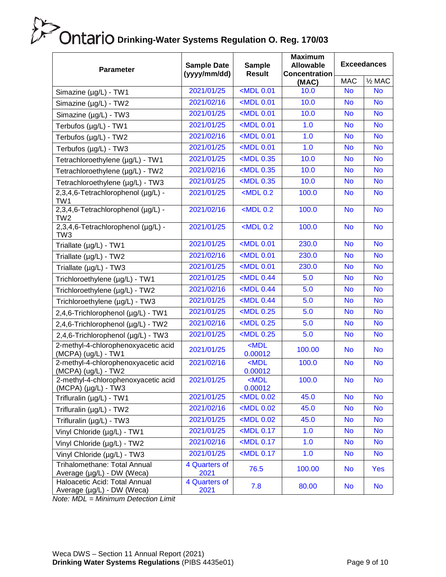| <b>Parameter</b>                                               | <b>Sample Date</b><br>(yyyy/mm/dd) | <b>Sample</b><br><b>Result</b>                                               | <b>Maximum</b><br><b>Allowable</b><br><b>Concentration</b> | <b>Exceedances</b> |                   |
|----------------------------------------------------------------|------------------------------------|------------------------------------------------------------------------------|------------------------------------------------------------|--------------------|-------------------|
|                                                                |                                    |                                                                              | (MAC)                                                      | <b>MAC</b>         | $\frac{1}{2}$ MAC |
| Simazine (µg/L) - TW1                                          | 2021/01/25                         | <mdl 0.01<="" td=""><td>10.0</td><td><b>No</b></td><td><b>No</b></td></mdl>  | 10.0                                                       | <b>No</b>          | <b>No</b>         |
| Simazine (µg/L) - TW2                                          | 2021/02/16                         | <mdl 0.01<="" td=""><td>10.0</td><td><b>No</b></td><td><b>No</b></td></mdl>  | 10.0                                                       | <b>No</b>          | <b>No</b>         |
| Simazine (µg/L) - TW3                                          | 2021/01/25                         | <mdl 0.01<="" td=""><td>10.0</td><td><b>No</b></td><td><b>No</b></td></mdl>  | 10.0                                                       | <b>No</b>          | <b>No</b>         |
| Terbufos (µg/L) - TW1                                          | 2021/01/25                         | <mdl 0.01<="" td=""><td>1.0</td><td><b>No</b></td><td><b>No</b></td></mdl>   | 1.0                                                        | <b>No</b>          | <b>No</b>         |
| Terbufos (µg/L) - TW2                                          | 2021/02/16                         | <mdl 0.01<="" td=""><td>1.0</td><td><b>No</b></td><td><b>No</b></td></mdl>   | 1.0                                                        | <b>No</b>          | <b>No</b>         |
| Terbufos (µg/L) - TW3                                          | 2021/01/25                         | <mdl 0.01<="" td=""><td>1.0</td><td><b>No</b></td><td><b>No</b></td></mdl>   | 1.0                                                        | <b>No</b>          | <b>No</b>         |
| Tetrachloroethylene (µg/L) - TW1                               | 2021/01/25                         | <mdl 0.35<="" td=""><td>10.0</td><td><b>No</b></td><td><b>No</b></td></mdl>  | 10.0                                                       | <b>No</b>          | <b>No</b>         |
| Tetrachloroethylene (µg/L) - TW2                               | 2021/02/16                         | <mdl 0.35<="" td=""><td>10.0</td><td><b>No</b></td><td><b>No</b></td></mdl>  | 10.0                                                       | <b>No</b>          | <b>No</b>         |
| Tetrachloroethylene (µg/L) - TW3                               | 2021/01/25                         | $<$ MDL 0.35                                                                 | 10.0                                                       | <b>No</b>          | <b>No</b>         |
| 2,3,4,6-Tetrachlorophenol (µg/L) -<br>TW1                      | 2021/01/25                         | $<$ MDL 0.2                                                                  | 100.0                                                      | <b>No</b>          | <b>No</b>         |
| 2,3,4,6-Tetrachlorophenol (µg/L) -<br>TW <sub>2</sub>          | 2021/02/16                         | $<$ MDL 0.2                                                                  | 100.0                                                      | <b>No</b>          | <b>No</b>         |
| 2,3,4,6-Tetrachlorophenol (µg/L) -<br>TW <sub>3</sub>          | 2021/01/25                         | $<$ MDL 0.2                                                                  | 100.0                                                      | <b>No</b>          | <b>No</b>         |
| Triallate (µg/L) - TW1                                         | 2021/01/25                         | <mdl 0.01<="" td=""><td>230.0</td><td><b>No</b></td><td><b>No</b></td></mdl> | 230.0                                                      | <b>No</b>          | <b>No</b>         |
| Triallate $(\mu g/L)$ - TW2                                    | 2021/02/16                         | <mdl 0.01<="" td=""><td>230.0</td><td><b>No</b></td><td><b>No</b></td></mdl> | 230.0                                                      | <b>No</b>          | <b>No</b>         |
| Triallate $(\mu g/L)$ - TW3                                    | 2021/01/25                         | <mdl 0.01<="" td=""><td>230.0</td><td><b>No</b></td><td><b>No</b></td></mdl> | 230.0                                                      | <b>No</b>          | <b>No</b>         |
| Trichloroethylene (µg/L) - TW1                                 | 2021/01/25                         | $<$ MDL 0.44                                                                 | 5.0                                                        | <b>No</b>          | <b>No</b>         |
| Trichloroethylene (µg/L) - TW2                                 | 2021/02/16                         | $<$ MDL 0.44                                                                 | 5.0                                                        | <b>No</b>          | <b>No</b>         |
| Trichloroethylene (µg/L) - TW3                                 | 2021/01/25                         | $<$ MDL 0.44                                                                 | 5.0                                                        | <b>No</b>          | <b>No</b>         |
| 2,4,6-Trichlorophenol (µg/L) - TW1                             | 2021/01/25                         | <mdl 0.25<="" td=""><td>5.0</td><td><b>No</b></td><td><b>No</b></td></mdl>   | 5.0                                                        | <b>No</b>          | <b>No</b>         |
| 2,4,6-Trichlorophenol (µg/L) - TW2                             | 2021/02/16                         | $MDL$ 0.25                                                                   | 5.0                                                        | <b>No</b>          | <b>No</b>         |
| 2,4,6-Trichlorophenol (µg/L) - TW3                             | 2021/01/25                         | $<$ MDL 0.25                                                                 | 5.0                                                        | <b>No</b>          | <b>No</b>         |
| 2-methyl-4-chlorophenoxyacetic acid<br>(MCPA) (ug/L) - TW1     | 2021/01/25                         | $MDL$<br>0.00012                                                             | 100.00                                                     | <b>No</b>          | <b>No</b>         |
| 2-methyl-4-chlorophenoxyacetic acid<br>(MCPA) (ug/L) - TW2     | 2021/02/16                         | $<$ MDL<br>0.00012                                                           | 100.0                                                      | <b>No</b>          | <b>No</b>         |
| 2-methyl-4-chlorophenoxyacetic acid<br>$(MCPA)(\mu g/L) - TW3$ | 2021/01/25                         | $MDL$<br>0.00012                                                             | 100.0                                                      | <b>No</b>          | <b>No</b>         |
| Trifluralin (µg/L) - TW1                                       | 2021/01/25                         | $MDL$ 0.02                                                                   | 45.0                                                       | <b>No</b>          | <b>No</b>         |
| Trifluralin (µg/L) - TW2                                       | 2021/02/16                         | $MDL$ 0.02                                                                   | 45.0                                                       | <b>No</b>          | <b>No</b>         |
| Trifluralin (µg/L) - TW3                                       | 2021/01/25                         | <mdl 0.02<="" td=""><td>45.0</td><td><b>No</b></td><td><b>No</b></td></mdl>  | 45.0                                                       | <b>No</b>          | <b>No</b>         |
| Vinyl Chloride (µg/L) - TW1                                    | 2021/01/25                         | $MDL$ 0.17                                                                   | 1.0                                                        | <b>No</b>          | <b>No</b>         |
| Vinyl Chloride (µg/L) - TW2                                    | 2021/02/16                         | <mdl 0.17<="" td=""><td>1.0</td><td><b>No</b></td><td><b>No</b></td></mdl>   | 1.0                                                        | <b>No</b>          | <b>No</b>         |
| Vinyl Chloride (µg/L) - TW3                                    | 2021/01/25                         | <mdl 0.17<="" td=""><td>1.0</td><td><b>No</b></td><td><b>No</b></td></mdl>   | 1.0                                                        | <b>No</b>          | <b>No</b>         |
| Trihalomethane: Total Annual<br>Average (µg/L) - DW (Weca)     | 4 Quarters of<br>2021              | 76.5                                                                         | 100.00                                                     | <b>No</b>          | <b>Yes</b>        |
| Haloacetic Acid: Total Annual<br>Average (µg/L) - DW (Weca)    | 4 Quarters of<br>2021              | 7.8                                                                          | 80.00                                                      | <b>No</b>          | <b>No</b>         |

*Note: MDL = Minimum Detection Limit*